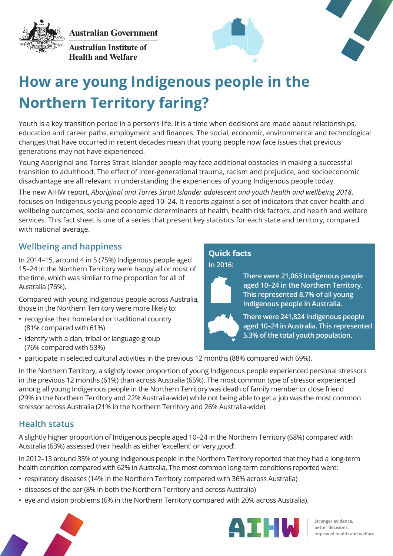**Australian Government** 



**Australian Institute of Health and Welfare** 





# **How are young Indigenous people in the Northern Territory faring?**

Youth is a key transition period in a person's life. It is a time when decisions are made about relationships, education and career paths, employment and finances. The social, economic, environmental and technological changes that have occurred in recent decades mean that young people now face issues that previous generations may not have experienced.

Young Aboriginal and Torres Strait Islander people may face additional obstacles in making a successful transition to adulthood. The effect of inter-generational trauma, racism and prejudice, and socioeconomic disadvantage are all relevant in understanding the experiences of young Indigenous people today.

The new AIHW report, *Aboriginal and Torres Strait Islander adolescent and youth health and wellbeing 2018*, focuses on Indigenous young people aged 10–24. It reports against a set of indicators that cover health and wellbeing outcomes, social and economic determinants of health, health risk factors, and health and welfare services. This fact sheet is one of a series that present key statistics for each state and territory, compared with national average.

# **Wellbeing and happiness**

In 2014–15, around 4 in 5 (75%) Indigenous people aged 15–24 in the Northern Territory were happy all or most of the time, which was similar to the proportion for all of Australia (76%).

Compared with young Indigenous people across Australia, those in the Northern Territory were more likely to:

- recognise their homeland or traditional country (81% compared with 61%)
- identify with a clan, tribal or language group (76% compared with 53%)

# **Quick facts**





**There were 21,063 Indigenous people aged 10–24 in the Northern Territory. This represented 8.7% of all young Indigenous people in Australia.**

**There were 241,824 Indigenous people aged 10–24 in Australia. This represented 5.3% of the total youth population.**

• participate in selected cultural activities in the previous 12 months (88% compared with 69%).

In the Northern Territory, a slightly lower proportion of young Indigenous people experienced personal stressors in the previous 12 months (61%) than across Australia (65%). The most common type of stressor experienced among all young Indigenous people in the Northern Territory was death of family member or close friend (29% in the Northern Territory and 22% Australia-wide) while not being able to get a job was the most common stressor across Australia (21% in the Northern Territory and 26% Australia-wide).

## **Health status**

A slightly higher proportion of Indigenous people aged 10–24 in the Northern Territory (68%) compared with Australia (63%) assessed their health as either 'excellent' or 'very good'.

In 2012–13 around 35% of young Indigenous people in the Northern Territory reported that they had a long-term health condition compared with 62% in Australia. The most common long-term conditions reported were:

- respiratory diseases (14% in the Northern Territory compared with 36% across Australia)
- diseases of the ear (8% in both the Northern Territory and across Australia)
- eye and vision problems (6% in the Northern Territory compared with 20% across Australia).





**Stronger evidence, better decisions, improved health and welfare**